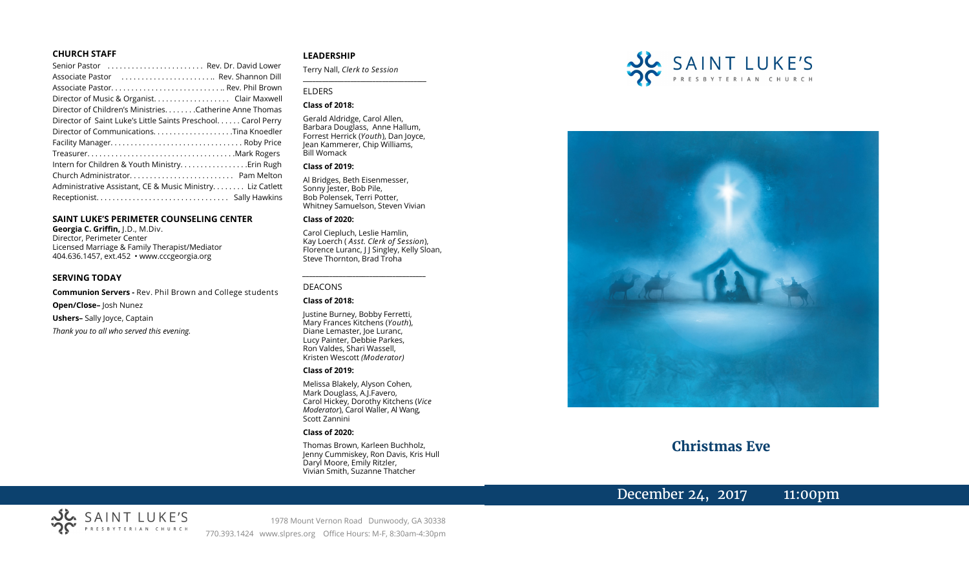#### **CHURCH STAFF**

| Senior Pastor  Rev. Dr. David Lower                           |
|---------------------------------------------------------------|
| Associate Pastor  Rev. Shannon Dill                           |
|                                                               |
| Director of Music & Organist. Clair Maxwell                   |
| Director of Children's Ministries. Catherine Anne Thomas      |
| Director of Saint Luke's Little Saints Preschool. Carol Perry |
|                                                               |
|                                                               |
|                                                               |
|                                                               |
|                                                               |
| Administrative Assistant, CE & Music Ministry. Liz Catlett    |
|                                                               |

#### **SAINT LUKE'S PERIMETER COUNSELING CENTER**

**Georgia C. Griffin,** J.D., M.Div. Director, Perimeter Center Licensed Marriage & Family Therapist/Mediator 404.636.1457, ext.452 • www.cccgeorgia.org

#### **SERVING TODAY**

**Communion Servers -** Rev. Phil Brown and College students

**Open/Close–** Josh Nunez

**Ushers–** Sally Joyce, Captain

*Thank you to all who served this evening.*

#### **LEADERSHIP**

Terry Nall, *Clerk to Session*  **\_\_\_\_\_\_\_\_\_\_\_\_\_\_\_\_\_\_\_\_\_\_\_\_\_\_\_\_\_\_\_\_\_\_\_\_\_\_\_**

#### ELDERS

#### **Class of 2018:**

Gerald Aldridge, Carol Allen, Barbara Douglass, Anne Hallum, Forrest Herrick (*Youth*), Dan Joyce, Jean Kammerer, Chip Williams, Bill Womack

#### **Class of 2019:**

Al Bridges, Beth Eisenmesser, Sonny Jester, Bob Pile, Bob Polensek, Terri Potter, Whitney Samuelson, Steven Vivian

#### **Class of 2020:**

Carol Ciepluch, Leslie Hamlin, Kay Loerch ( *Asst. Clerk of Session*), Florence Luranc, J J Singley, Kelly Sloan, Steve Thornton, Brad Troha

*\_\_\_\_\_\_\_\_\_\_\_\_\_\_\_\_\_\_\_\_\_\_\_\_\_\_\_\_\_\_\_\_\_\_\_\_\_*

#### DEACONS

#### **Class of 2018:**

Justine Burney, Bobby Ferretti, Mary Frances Kitchens (*Youth*), Diane Lemaster, Joe Luranc, Lucy Painter, Debbie Parkes, Ron Valdes, Shari Wassell, Kristen Wescott *(Moderator)*

#### **Class of 2019:**

Melissa Blakely, Alyson Cohen, Mark Douglass, A.J.Favero, Carol Hickey, Dorothy Kitchens (*Vice Moderator*), Carol Waller, Al Wang, Scott Zannini

#### **Class of 2020:**

Thomas Brown, Karleen Buchholz, Jenny Cummiskey, Ron Davis, Kris Hull Daryl Moore, Emily Ritzler, Vivian Smith, Suzanne Thatcher





# **Christmas Eve**

# December 24, 2017 11:00pm



1978 Mount Vernon Road Dunwoody, GA 30338 770.393.1424 www.slpres.org Office Hours: M-F, 8:30am-4:30pm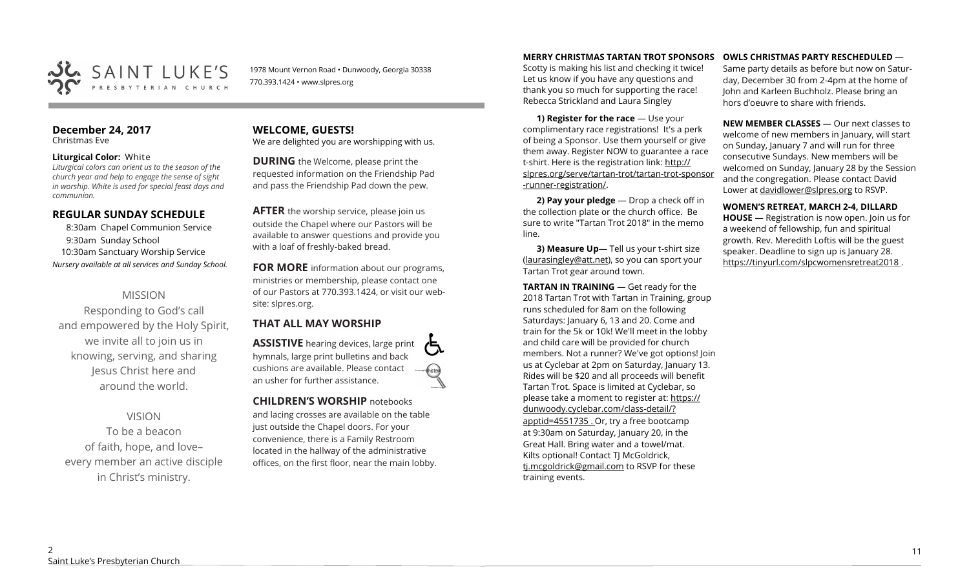

1978 Mount Vernon Road • Dunwoody, Georgia 30338 770.393.1424 • www.slpres.org

#### **December 24, 2017**  Christmas Eve

#### **Liturgical Color:** White

*Liturgical colors can orient us to the season of the church year and help to engage the sense of sight in worship. White is used for special feast days and communion.*

## **REGULAR SUNDAY SCHEDULE**

8:30am Chapel Communion Service 9:30am Sunday School 10:30am Sanctuary Worship Service *Nursery available at all services and Sunday School.*

## MISSION

Responding to God's call and empowered by the Holy Spirit, we invite all to join us in knowing, serving, and sharing Jesus Christ here and around the world.

VISION To be a beacon of faith, hope, and love– every member an active disciple in Christ's ministry.

### **WELCOME, GUESTS!**  We are delighted you are worshipping with us.

**DURING** the Welcome, please print the requested information on the Friendship Pad and pass the Friendship Pad down the pew.

**AFTER** the worship service, please join us outside the Chapel where our Pastors will be available to answer questions and provide you with a loaf of freshly-baked bread.

**FOR MORE** information about our programs, ministries or membership, please contact one of our Pastors at 770.393.1424, or visit our website: slpres.org.

## **THAT ALL MAY WORSHIP**

**ASSISTIVE** hearing devices, large print hymnals, large print bulletins and back cushions are available. Please contact an usher for further assistance.

**CHILDREN'S WORSHIP** notebooks

and lacing crosses are available on the table just outside the Chapel doors. For your convenience, there is a Family Restroom located in the hallway of the administrative offices, on the first floor, near the main lobby.

## **MERRY CHRISTMAS TARTAN TROT SPONSORS**

Scotty is making his list and checking it twice! Let us know if you have any questions and thank you so much for supporting the race! Rebecca Strickland and Laura Singley

**1) Register for the race** — Use your complimentary race registrations! It's a perk of being a Sponsor. Use them yourself or give them away. Register NOW to guarantee a race t-shirt. Here is the registration link: [http://](http://slpres.org/serve/tartan-trot/tartan-trot-sponsor-runner-registration/) [slpres.org/serve/tartan](http://slpres.org/serve/tartan-trot/tartan-trot-sponsor-runner-registration/)-trot/tartan-trot-sponsor -runner-[registration/.](http://slpres.org/serve/tartan-trot/tartan-trot-sponsor-runner-registration/)

**2) Pay your pledge** — Drop a check off in the collection plate or the church office. Be sure to write "Tartan Trot 2018" in the memo line.

**3) Measure Up**— Tell us your t-shirt size ([laurasingley@att.net\)](mailto:laurasingley@att.net), so you can sport your Tartan Trot gear around town.

**TARTAN IN TRAINING** — Get ready for the 2018 Tartan Trot with Tartan in Training, group runs scheduled for 8am on the following Saturdays: January 6, 13 and 20. Come and train for the 5k or 10k! We'll meet in the lobby and child care will be provided for church members. Not a runner? We've got options! Join us at Cyclebar at 2pm on Saturday, January 13. Rides will be \$20 and all proceeds will benefit Tartan Trot. Space is limited at Cyclebar, so please take a moment to register at: [https://](https://dunwoody.cyclebar.com/class-detail/?apptid=4551735) [dunwoody.cyclebar.com/class](https://dunwoody.cyclebar.com/class-detail/?apptid=4551735)-detail/?

[apptid=4551735](https://dunwoody.cyclebar.com/class-detail/?apptid=4551735) . Or, try a free bootcamp at 9:30am on Saturday, January 20, in the Great Hall. Bring water and a towel/mat. Kilts optional! Contact TJ McGoldrick, [tj.mcgoldrick@gmail.com](mailto:tj.mcgoldrick@gmail.com) to RSVP for these training events.

#### **OWLS CHRISTMAS PARTY RESCHEDULED** —

Same party details as before but now on Saturday, December 30 from 2-4pm at the home of John and Karleen Buchholz. Please bring an hors d'oeuvre to share with friends.

**NEW MEMBER CLASSES** — Our next classes to welcome of new members in January, will start on Sunday, January 7 and will run for three consecutive Sundays. New members will be welcomed on Sunday, January 28 by the Session and the congregation. Please contact David Lower at davidlower@slpres.org to RSVP.

**WOMEN'S RETREAT, MARCH 2-4, DILLARD HOUSE** — Registration is now open. Join us for a weekend of fellowship, fun and spiritual growth. Rev. Meredith Loftis will be the guest

speaker. Deadline to sign up is January 28. https://tinyurl.com/slpcwomensretreat2018 .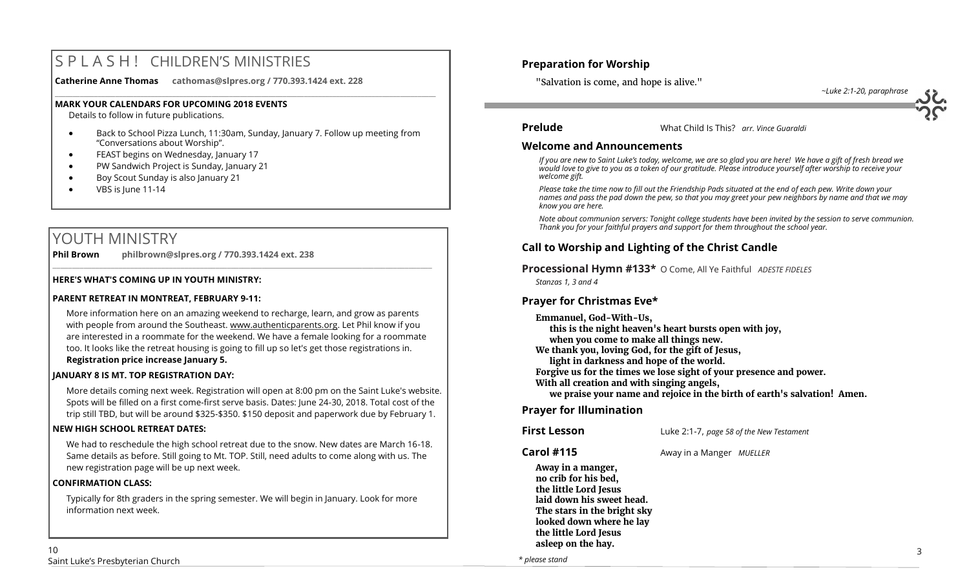# S P L A S H ! CHILDREN'S MINISTRIES

**Catherine Anne Thomas cathomas@slpres.org / 770.393.1424 ext. 228** 

#### **MARK YOUR CALENDARS FOR UPCOMING 2018 EVENTS**

Details to follow in future publications.

 Back to School Pizza Lunch, 11:30am, Sunday, January 7. Follow up meeting from "Conversations about Worship".

**\_\_\_\_\_\_\_\_\_\_\_\_\_\_\_\_\_\_\_\_\_\_\_\_\_\_\_\_\_\_\_\_\_\_\_\_\_\_\_\_\_\_\_\_\_\_\_\_\_\_\_\_\_\_\_\_\_\_\_\_\_\_\_\_\_\_\_\_\_\_\_\_\_\_\_\_\_\_\_\_\_\_\_\_\_\_\_\_\_\_\_\_\_\_\_\_\_\_\_\_\_\_\_\_\_\_\_** 

- **•** FEAST begins on Wednesday, January 17
- PW Sandwich Project is Sunday, January 21
- Boy Scout Sunday is also January 21
- VBS is June 11-14

# YOUTH MINISTRY

**Phil Brown philbrown@slpres.org / 770.393.1424 ext. 238**   $\_$  ,  $\_$  ,  $\_$  ,  $\_$  ,  $\_$  ,  $\_$  ,  $\_$  ,  $\_$  ,  $\_$  ,  $\_$  ,  $\_$  ,  $\_$  ,  $\_$  ,  $\_$  ,  $\_$  ,  $\_$  ,  $\_$  ,  $\_$  ,  $\_$  ,  $\_$ 

#### **HERE'S WHAT'S COMING UP IN YOUTH MINISTRY:**

### **PARENT RETREAT IN MONTREAT, FEBRUARY 9-11:**

[More information here](https://www.authenticparents.org/) on an amazing weekend to recharge, learn, and grow as parents with people from around the Southeast. [www.authenticparents.org.](http://www.authenticparents.org/) Let Phil know if you are interested in a roommate for the weekend. We have a female looking for a roommate too. It looks like the retreat housing is going to fill up so let's get those registrations in. **Registration price increase January 5.**

### **JANUARY 8 IS MT. TOP REGISTRATION DAY:**

More details coming next week. Registration will open at 8:00 pm on the Saint Luke's website. Spots will be filled on a first come-first serve basis. Dates: June 24-30, 2018. Total cost of the trip still TBD, but will be around \$325-\$350. \$150 deposit and paperwork due by February 1.

### **NEW HIGH SCHOOL RETREAT DATES:**

We had to reschedule the high school retreat due to the snow. New dates are March 16-18. Same details as before. Still going to Mt. TOP. Still, need adults to come along with us. The new registration page will be up next week.

### **CONFIRMATION CLASS:**

Typically for 8th graders in the spring semester. We will begin in January. Look for more information next week.

## **Preparation for Worship**

"Salvation is come, and hope is alive."

*~Luke 2:1-20, paraphrase*

## **Prelude** What Child Is This? *arr. Vince Guaraldi*

#### **Welcome and Announcements**

*If you are new to Saint Luke's today, welcome, we are so glad you are here! We have a gift of fresh bread we would love to give to you as a token of our gratitude. Please introduce yourself after worship to receive your welcome gift.*

*Please take the time now to fill out the Friendship Pads situated at the end of each pew. Write down your names and pass the pad down the pew, so that you may greet your pew neighbors by name and that we may know you are here.*

*Note about communion servers: Tonight college students have been invited by the session to serve communion. Thank you for your faithful prayers and support for them throughout the school year.* 

## **Call to Worship and Lighting of the Christ Candle**

**Processional Hymn #133\*** O Come, All Ye Faithful *ADESTE FIDELES Stanzas 1, 3 and 4* 

## **Prayer for Christmas Eve\***

**Emmanuel, God-With-Us,** 

**this is the night heaven's heart bursts open with joy, when you come to make all things new.**

**We thank you, loving God, for the gift of Jesus,** 

**light in darkness and hope of the world.**

**Forgive us for the times we lose sight of your presence and power.**

- **With all creation and with singing angels,**
- **we praise your name and rejoice in the birth of earth's salvation! Amen.**

## **Prayer for Illumination**

**First Lesson** Luke 2:1-7, *page 58 of the New Testament*

**Carol #115** Away in a Manger *MUELLER* 

**Away in a manger, no crib for his bed, the little Lord Jesus laid down his sweet head. The stars in the bright sky looked down where he lay the little Lord Jesus asleep on the hay.**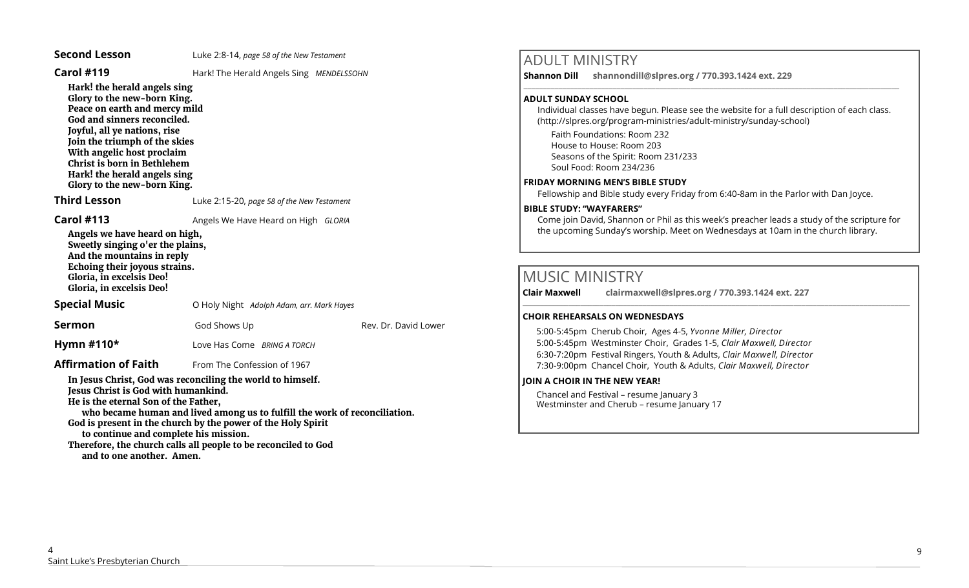| <b>Carol #119</b>                                                                                                                                                                                                                                                                                                                                                                                                               | Hark! The Herald Angels Sing MENDELSSOHN   |                      |  |
|---------------------------------------------------------------------------------------------------------------------------------------------------------------------------------------------------------------------------------------------------------------------------------------------------------------------------------------------------------------------------------------------------------------------------------|--------------------------------------------|----------------------|--|
| Hark! the herald angels sing<br>Glory to the new-born King.<br>Peace on earth and mercy mild<br>God and sinners reconciled.<br>Joyful, all ye nations, rise<br>Join the triumph of the skies<br>With angelic host proclaim<br>Christ is born in Bethlehem<br>Hark! the herald angels sing<br>Glory to the new-born King.                                                                                                        |                                            |                      |  |
| <b>Third Lesson</b>                                                                                                                                                                                                                                                                                                                                                                                                             | Luke 2:15-20, page 58 of the New Testament |                      |  |
| <b>Carol #113</b>                                                                                                                                                                                                                                                                                                                                                                                                               | Angels We Have Heard on High GLORIA        |                      |  |
| Angels we have heard on high,<br>Sweetly singing o'er the plains,<br>And the mountains in reply<br>Echoing their joyous strains.<br>Gloria, in excelsis Deo!<br>Gloria, in excelsis Deo!                                                                                                                                                                                                                                        |                                            |                      |  |
| <b>Special Music</b>                                                                                                                                                                                                                                                                                                                                                                                                            | O Holy Night Adolph Adam, arr. Mark Hayes  |                      |  |
| Sermon                                                                                                                                                                                                                                                                                                                                                                                                                          | God Shows Up                               | Rev. Dr. David Lower |  |
| Hymn #110*                                                                                                                                                                                                                                                                                                                                                                                                                      | Love Has Come BRING A TORCH                |                      |  |
| <b>Affirmation of Faith</b>                                                                                                                                                                                                                                                                                                                                                                                                     | From The Confession of 1967                |                      |  |
| In Jesus Christ, God was reconciling the world to himself.<br>Jesus Christ is God with humankind.<br>He is the eternal Son of the Father,<br>who became human and lived among us to fulfill the work of reconciliation.<br>God is present in the church by the power of the Holy Spirit<br>to continue and complete his mission.<br>Therefore, the church calls all people to be reconciled to God<br>and to one another. Amen. |                                            |                      |  |

**Second Lesson** Luke 2:8-14, *page 58 of the New Testament*

# ADULT MINISTRY

**Shannon Dill shannondill@slpres.org / 770.393.1424 ext. 229**   $\_$  ,  $\_$  ,  $\_$  ,  $\_$  ,  $\_$  ,  $\_$  ,  $\_$  ,  $\_$  ,  $\_$  ,  $\_$  ,  $\_$  ,  $\_$  ,  $\_$  ,  $\_$  ,  $\_$  ,  $\_$  ,  $\_$  ,  $\_$  ,  $\_$  ,  $\_$ 

## **ADULT SUNDAY SCHOOL**

Individual classes have begun. Please see the website for a full description of each class. (http://slpres.org/program-ministries/adult-ministry/sunday-school)

Faith Foundations: Room 232 House to House: Room 203 Seasons of the Spirit: Room 231/233 Soul Food: Room 234/236

### **FRIDAY MORNING MEN'S BIBLE STUDY**

Fellowship and Bible study every Friday from 6:40-8am in the Parlor with Dan Joyce.

## **BIBLE STUDY: "WAYFARERS"**

Come join David, Shannon or Phil as this week's preacher leads a study of the scripture for the upcoming Sunday's worship. Meet on Wednesdays at 10am in the church library.

 $\_$  ,  $\_$  ,  $\_$  ,  $\_$  ,  $\_$  ,  $\_$  ,  $\_$  ,  $\_$  ,  $\_$  ,  $\_$  ,  $\_$  ,  $\_$  ,  $\_$  ,  $\_$  ,  $\_$  ,  $\_$  ,  $\_$  ,  $\_$  ,  $\_$  ,  $\_$ 

# MUSIC MINISTRY

**Clair Maxwell clairmaxwell@slpres.org / 770.393.1424 ext. 227** 

## **CHOIR REHEARSALS ON WEDNESDAYS**

5:00-5:45pm Cherub Choir, Ages 4-5, *Yvonne Miller, Director*  5:00-5:45pm Westminster Choir, Grades 1-5, *Clair Maxwell, Director*  6:30-7:20pm Festival Ringers, Youth & Adults, *Clair Maxwell, Director*  7:30-9:00pm Chancel Choir, Youth & Adults, *Clair Maxwell, Director*

## **JOIN A CHOIR IN THE NEW YEAR!**

Chancel and Festival – resume January 3 Westminster and Cherub – resume January 17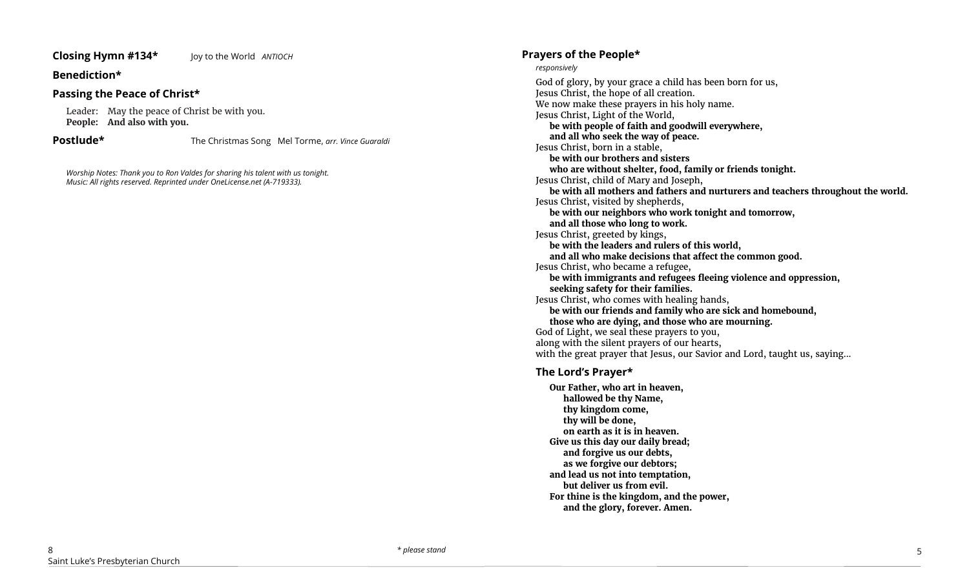## **Closing Hymn #134\*** Joy to the World *ANTIOCH*

## **Benediction\***

## **Passing the Peace of Christ\***

Leader: May the peace of Christ be with you. **People: And also with you.**

**Postlude\*** The Christmas Song Mel Torme, *arr. Vince Guaraldi*

*Worship Notes: Thank you to Ron Valdes for sharing his talent with us tonight. Music: All rights reserved. Reprinted under OneLicense.net (A-719333).* 

## **Prayers of the People\***

#### *responsively*

God of glory, by your grace a child has been born for us, Jesus Christ, the hope of all creation. We now make these prayers in his holy name. Jesus Christ, Light of the World, **be with people of faith and goodwill everywhere, and all who seek the way of peace.** Jesus Christ, born in a stable, **be with our brothers and sisters who are without shelter, food, family or friends tonight.** Jesus Christ, child of Mary and Joseph, **be with all mothers and fathers and nurturers and teachers throughout the world.** Jesus Christ, visited by shepherds, **be with our neighbors who work tonight and tomorrow, and all those who long to work.** Jesus Christ, greeted by kings, **be with the leaders and rulers of this world, and all who make decisions that affect the common good.** Jesus Christ, who became a refugee, **be with immigrants and refugees fleeing violence and oppression, seeking safety for their families.** Jesus Christ, who comes with healing hands, **be with our friends and family who are sick and homebound, those who are dying, and those who are mourning.** God of Light, we seal these prayers to you, along with the silent prayers of our hearts, with the great prayer that Jesus, our Savior and Lord, taught us, saying...

## **The Lord's Prayer\***

**Our Father, who art in heaven, hallowed be thy Name, thy kingdom come, thy will be done, on earth as it is in heaven. Give us this day our daily bread; and forgive us our debts, as we forgive our debtors; and lead us not into temptation, but deliver us from evil. For thine is the kingdom, and the power, and the glory, forever. Amen.**